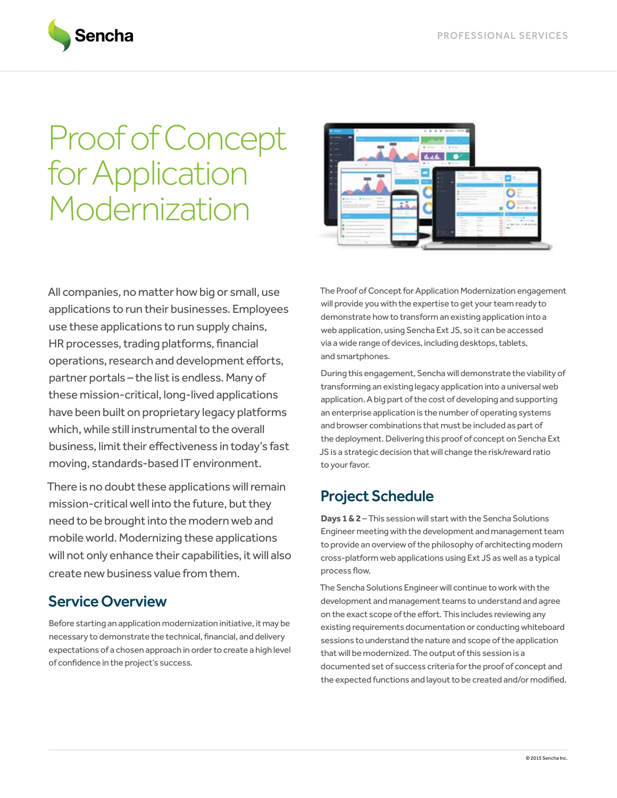

# Proof of Concept for Application Modernization



All companies, no matter how big or small, use applications to run their businesses. Employees use these applications to run supply chains, HR processes, trading platforms, financial operations, research and development efforts, partner portals – the list is endless. Many of these mission-critical, long-lived applications have been built on proprietary legacy platforms which, while still instrumental to the overall business, limit their effectiveness in today's fast moving, standards-based IT environment.

There is no doubt these applications will remain mission-critical well into the future, but they need to be brought into the modern web and mobile world. Modernizing these applications will not only enhance their capabilities, it will also create new business value from them.

## Service Overview

Before starting an application modernization initiative, it may be necessary to demonstrate the technical, financial, and delivery expectations of a chosen approach in order to create a high level of confidence in the project's success.

The Proof of Concept for Application Modernization engagement will provide you with the expertise to get your team ready to demonstrate how to transform an existing application into a web application, using Sencha Ext JS, so it can be accessed via a wide range of devices, including desktops, tablets, and smartphones.

During this engagement, Sencha will demonstrate the viability of transforming an existing legacy application into a universal web application. A big part of the cost of developing and supporting an enterprise application is the number of operating systems and browser combinations that must be included as part of the deployment. Delivering this proof of concept on Sencha Ext JS is a strategic decision that will change the risk/reward ratio to your favor.

## Project Schedule

**Days 1 & 2** – This session will start with the Sencha Solutions Engineer meeting with the development and management team to provide an overview of the philosophy of architecting modern cross-platform web applications using Ext JS as well as a typical process flow.

The Sencha Solutions Engineer will continue to work with the development and management teams to understand and agree on the exact scope of the effort. This includes reviewing any existing requirements documentation or conducting whiteboard sessions to understand the nature and scope of the application that will be modernized. The output of this session is a documented set of success criteria for the proof of concept and the expected functions and layout to be created and/or modified.